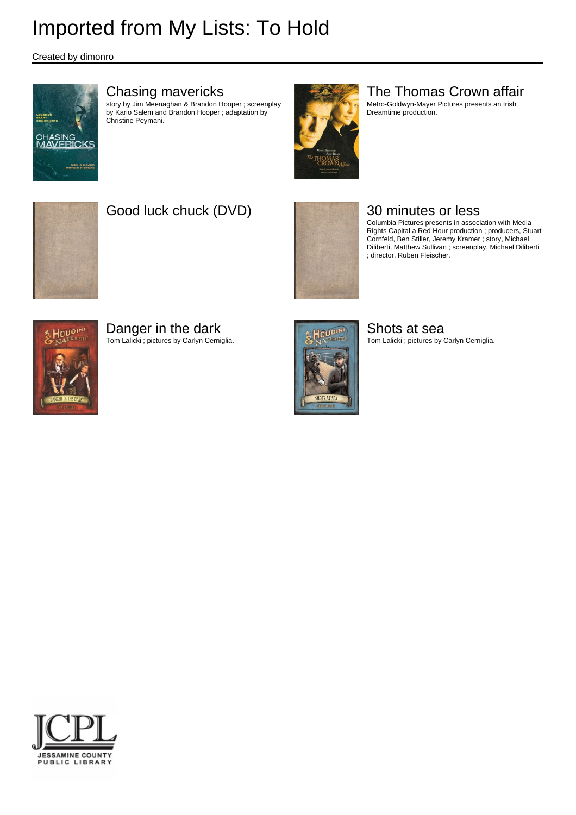Created by dimonro



### Chasing mavericks

story by Jim Meenaghan & Brandon Hooper ; screenplay by Kario Salem and Brandon Hooper ; adaptation by Christine Peymani.



### The Thomas Crown affair

Metro-Goldwyn-Mayer Pictures presents an Irish Dreamtime production.



## Good luck chuck (DVD) **1999** 30 minutes or less



Columbia Pictures presents in association with Media Rights Capital a Red Hour production ; producers, Stuart Cornfeld, Ben Stiller, Jeremy Kramer ; story, Michael Diliberti, Matthew Sullivan ; screenplay, Michael Diliberti ; director, Ruben Fleischer.



## Danger in the dark

Tom Lalicki ; pictures by Carlyn Cerniglia.



Shots at sea Tom Lalicki ; pictures by Carlyn Cerniglia.

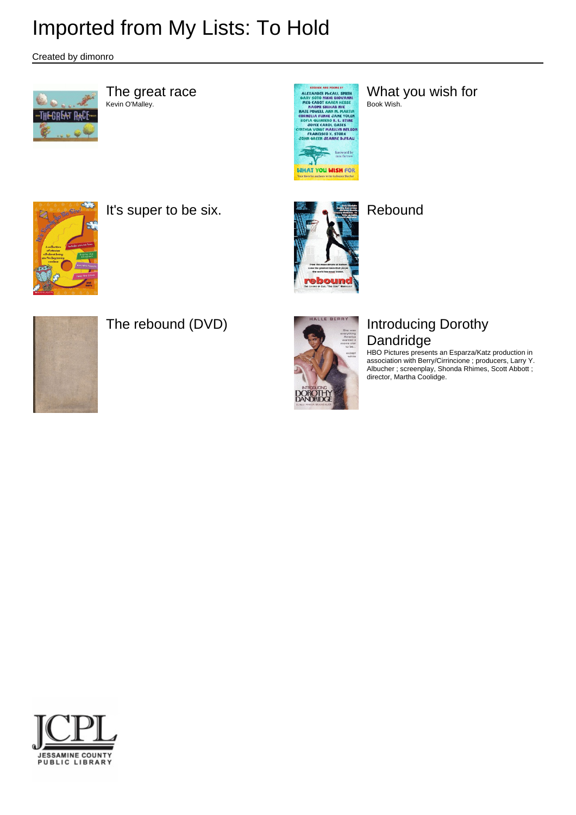Created by dimonro



The great race<br>Kevin O'Malley.



AREX ARE AN ART AND THE WARD SCREEN WAS CONSIDERED AND THE WAS CARRENT MOVANNING WAS A RANGE CARRENT MESSEE BOOK WISH. Book Wish.



It's super to be six. **Report in the six.** Rebound







## The rebound (DVD) **In the SERRY Introducing Dorothy** Dandridge

HBO Pictures presents an Esparza/Katz production in association with Berry/Cirrincione ; producers, Larry Y. Albucher ; screenplay, Shonda Rhimes, Scott Abbott ; director, Martha Coolidge.

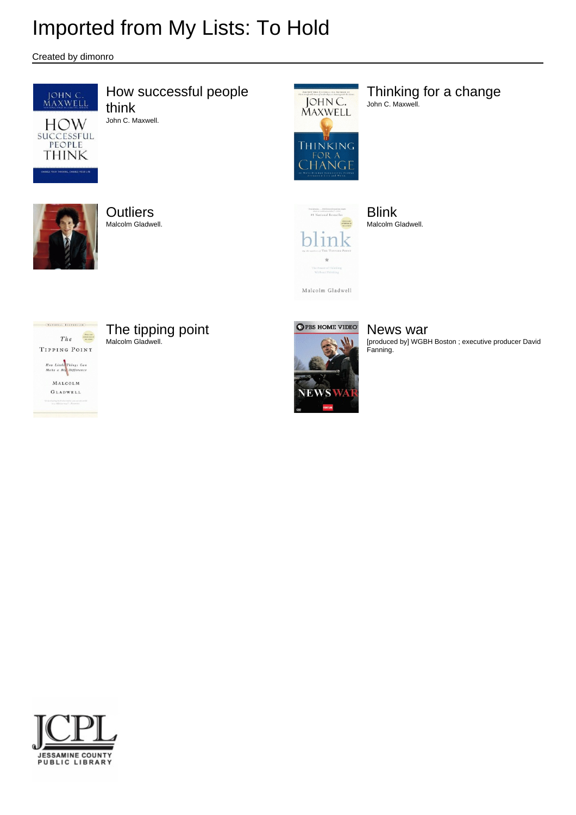Created by dimonro



How successful people think John C. Maxwell.



Thinking for a change John C. Maxwell.



**Outliers** Malcolm Gladwell.



Malcolm Gladwell

Blink Malcolm Gladwell.



The tipping point

Malcolm Gladwell.



News war [produced by] WGBH Boston ; executive producer David Fanning.

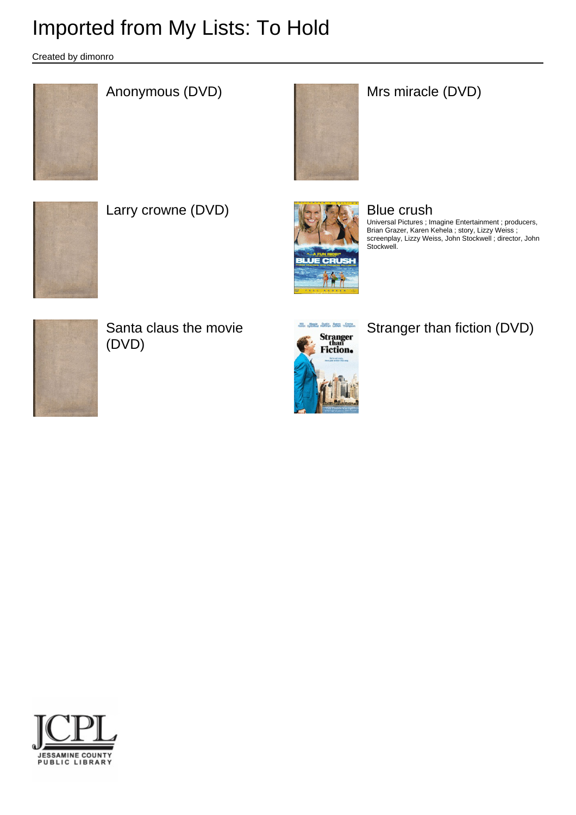Created by dimonro



## Anonymous (DVD) **Mrs** miracle (DVD)





Larry crowne (DVD) **Blue crush Blue crush** 



Universal Pictures ; Imagine Entertainment ; producers, Brian Grazer, Karen Kehela ; story, Lizzy Weiss ; screenplay, Lizzy Weiss, John Stockwell ; director, John Stockwell.



Santa claus the movie (DVD)



Stranger than fiction (DVD)

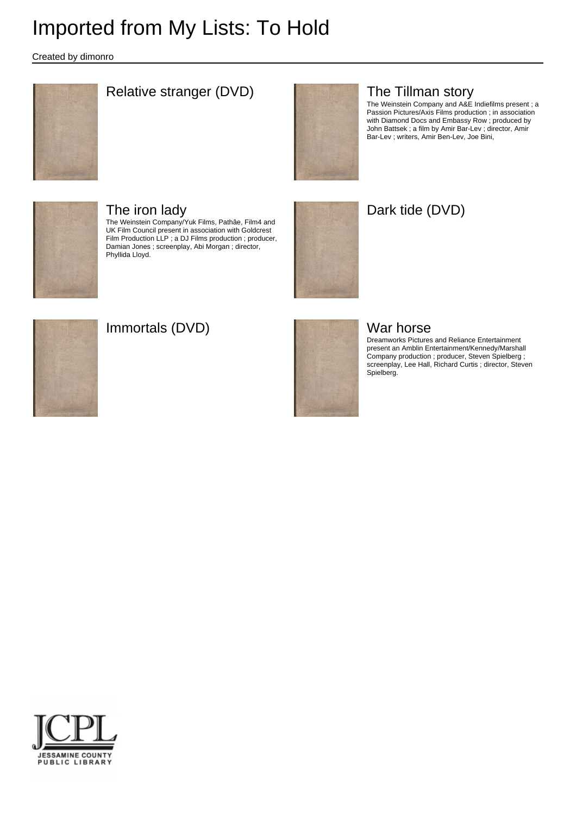Created by dimonro



### Relative stranger (DVD) **The Tillman story**



The Weinstein Company and A&E Indiefilms present ; a Passion Pictures/Axis Films production ; in association with Diamond Docs and Embassy Row ; produced by John Battsek ; a film by Amir Bar-Lev ; director, Amir Bar-Lev ; writers, Amir Ben-Lev, Joe Bini,



### The iron lady

The Weinstein Company/Yuk Films, Pathâe, Film4 and UK Film Council present in association with Goldcrest Film Production LLP ; a DJ Films production ; producer, Damian Jones ; screenplay, Abi Morgan ; director, Phyllida Lloyd.



## Dark tide (DVD)



### Immortals (DVD) War horse



Dreamworks Pictures and Reliance Entertainment present an Amblin Entertainment/Kennedy/Marshall Company production ; producer, Steven Spielberg ; screenplay, Lee Hall, Richard Curtis ; director, Steven Spielberg.